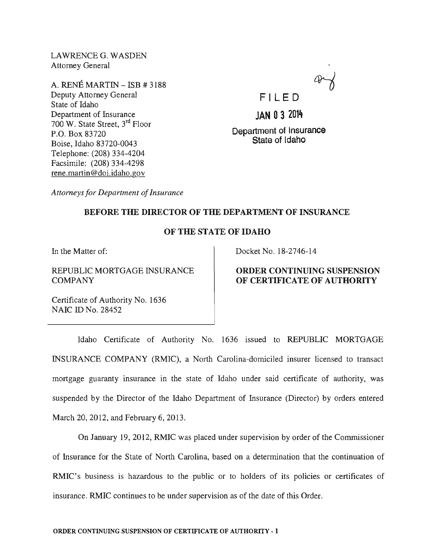LAWRENCEG. WASDEN Attorney General

A. RENE MARTIN - ISB # 3188 Deputy Attorney General State of Idaho Department of Insurance 700 W. State Street, 3rd Floor P.O. Box 83720 Boise, Idaho 83720-0043 Telephone: (208) 334-4204 Facsimile: (208) 334-4298 rene.martin@doi.idaho.gov



**JAN 03 2014** 

Department of Insurance State of Idaho

*Attorneys for Department of Insurance* 

# BEFORE THE DIRECTOR OF THE DEPARTMENT OF INSURANCE

### OF THE STATE OF IDAHO

In the Matter of:

REPUBLIC MORTGAGE INSURANCE COMPANY

Docket No. 18-2746-14

## ORDER CONTINUING SUSPENSION OF CERTIFICATE OF AUTHORITY

Certificate of Authority No. 1636 NAIC ID No. 28452

Idaho Certificate of Authority No. 1636 issued to REPUBLIC MORTGAGE INSURANCE COMPANY (RMIC) , a North Carolina-domiciled insurer licensed to transact mortgage guaranty insurance in the state of Idaho under said certificate of authority, was suspended by the Director of the Idaho Department of Insurance (Director) by orders entered March 20, 2012, and February 6, 2013.

On January 19,2012, RMIC was placed under supervision by order of the Commissioner of Insurance for the State of North Carolina, based on a determination that the continuation of RMIC's business is hazardous to the public or to holders of its policies or certificates of insurance. RMIC continues to be under supervision as of the date of this Order.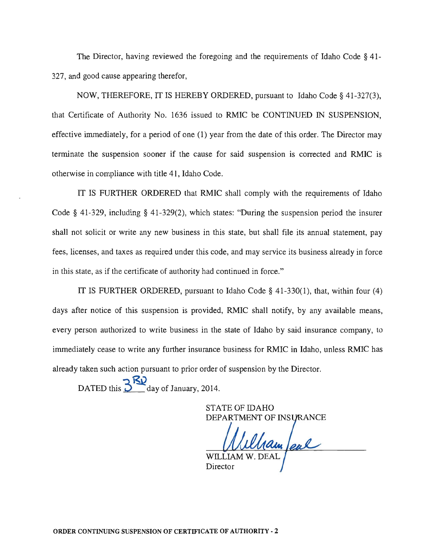The Director, having reviewed the foregoing and the requirements of Idaho Code § 41- 327, and good cause appearing therefor,

NOW, THEREFORE, IT IS HEREBY ORDERED, pursuant to Idaho Code § 41-327(3), that Certificate of Authority No. 1636 issued to RMIC be CONTINUED IN SUSPENSION, effective immediately, for a period of one (1) year from the date of this order. The Director may terminate the suspension sooner if the cause for said suspension is corrected and RMIC is otherwise in compliance with title 41, Idaho Code.

IT IS FURTHER ORDERED that RMIC shall comply with the requirements of Idaho Code § 41-329, including § 41-329(2), which states: "During the suspension period the insurer shall not solicit or write any new business in this state, but shall file its annual statement, pay fees, licenses, and taxes as required under this code, and may service its business already in force in this state, as if the certificate of authority had continued in force."

IT IS FURTHER ORDERED, pursuant to Idaho Code § 41-330(1), that, within four (4) days after notice of this suspension is provided, RMIC shall notify, by any available means, every person authorized to write business in the state of Idaho by said insurance company, to immediately cease to write any further insurance business for RMIC in Idaho, unless RMIC has already taken such action pursuant to prior order of suspension by the Director.

DATED this  $3^{\text{K2}}$  day of January, 2014.

STATE OF IDAHO DEPARTMENT OF INSURANCE

ham feal WILLIA

Director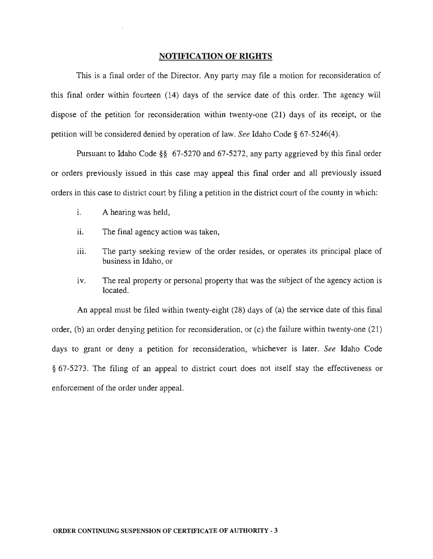#### **NOTIFICATION OF RIGHTS**

This is a final order of the Director. Any party may file a motion for reconsideration of this final order within fourteen (14) days of the service date of this order. The agency will dispose of the petition for reconsideration within twenty-one (21) days of its receipt, or the petition will be considered denied by operation of law. *See* Idaho Code § 67-5246(4).

Pursuant to Idaho Code §§ 67-5270 and 67-5272, any party aggrieved by this final order or orders previously issued in this case may appeal this final order and all previously issued orders in this case to district court by filing a petition in the district court of the county in which:

- i. A hearing was held,
- ii. The final agency action was taken,
- iii. The party seeking review of the order resides, or operates its principal place of business in Idaho, or
- iv. The real property or personal property that was the subject of the agency action is located.

An appeal must be filed within twenty-eight (28) days of (a) the service date of this final order, (b) an order denying petition for reconsideration, or (c) the failure within twenty-one (21) days to grant or deny a petition for reconsideration, whichever is later. *See* Idaho Code § 67-5273. The filing of an appeal to district court does not itself stay the effectiveness or enforcement of the order under appeal.